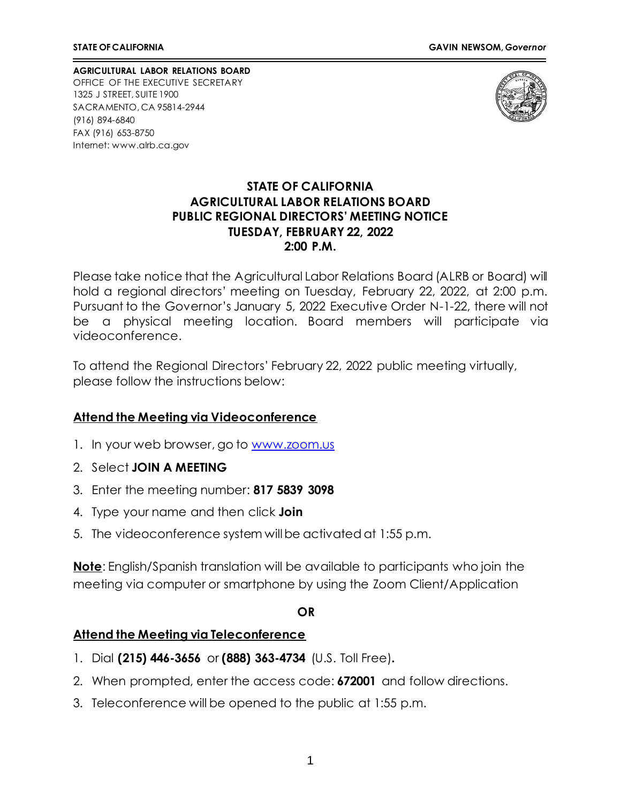**AGRICULTURAL LABOR RELATIONS BOARD** OFFICE OF THE EXECUTIVE SECRETARY 1325 J STREET, SUITE 1900 SACRAMENTO, CA 95814-2944 (916) 894-6840 FAX (916) 653-8750 Internet[: www.alrb.ca.gov](http://www.alrb.ca.gov/)



# **STATE OF CALIFORNIA AGRICULTURAL LABOR RELATIONS BOARD PUBLIC REGIONAL DIRECTORS' MEETING NOTICE TUESDAY, FEBRUARY 22, 2022 2:00 P.M.**

Please take notice that the Agricultural Labor Relations Board (ALRB or Board) will hold a regional directors' meeting on Tuesday, February 22, 2022, at 2:00 p.m. Pursuant to the Governor's January 5, 2022 Executive Order N-1-22, there will not be a physical meeting location. Board members will participate via videoconference.

To attend the Regional Directors' February 22, 2022 public meeting virtually, please follow the instructions below:

# **Attend the Meeting via Videoconference**

- 1. In your web browser, go to [www.zoom.us](http://www.zoom.us/)
- 2. Select **JOIN A MEETING**
- 3. Enter the meeting number: **817 5839 3098**
- 4. Type your name and then click **Join**
- 5. The videoconference system willbe activated at 1:55 p.m.

**Note**: English/Spanish translation will be available to participants who join the meeting via computer or smartphone by using the Zoom Client/Application

#### **OR**

### **Attend the Meeting via Teleconference**

- 1. Dial **(215) 446-3656** or **(888) 363-4734** (U.S. Toll Free)**.**
- 2. When prompted, enter the access code: **672001** and follow directions.
- 3. Teleconference will be opened to the public at 1:55 p.m.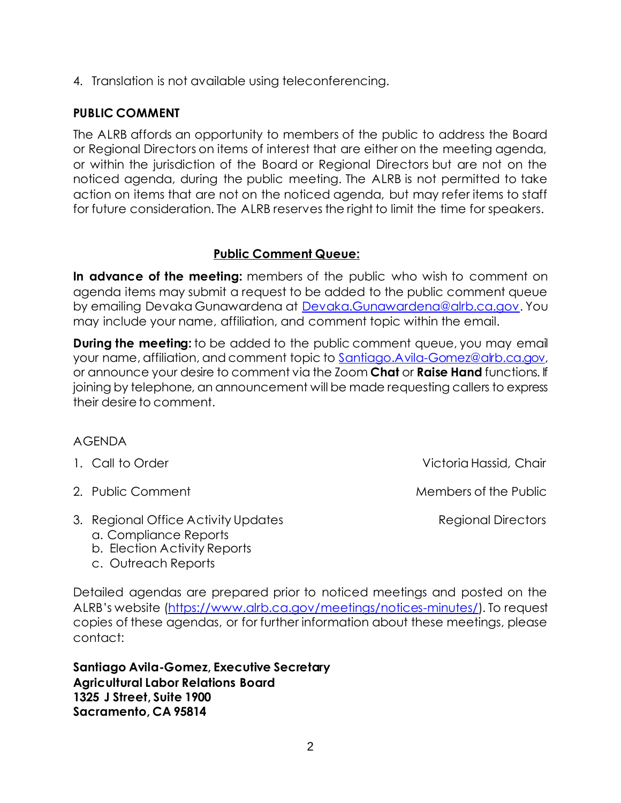4. Translation is not available using teleconferencing.

# **PUBLIC COMMENT**

The ALRB affords an opportunity to members of the public to address the Board or Regional Directors on items of interest that are either on the meeting agenda, or within the jurisdiction of the Board or Regional Directors but are not on the noticed agenda, during the public meeting. The ALRB is not permitted to take action on items that are not on the noticed agenda, but may refer items to staff for future consideration. The ALRB reserves the right to limit the time for speakers.

# **Public Comment Queue:**

**In advance of the meeting:** members of the public who wish to comment on agenda items may submit a request to be added to the public comment queue by emailing Devaka Gunawardena at [Devaka.Gunawardena@alrb.ca.gov.](mailto:Devaka.Gunawardena@alrb.ca.gov) You may include your name, affiliation, and comment topic within the email.

**During the meeting:** to be added to the public comment queue, you may email your name, affiliation, and comment topic to [Santiago.Avila-Gomez@alrb.ca.gov,](mailto:Santiago.Avila-Gomez@alrb.ca.gov) or announce your desire to comment via the Zoom **Chat** or **Raise Hand** functions. If joining by telephone, an announcement will be made requesting callers to express their desire to comment.

### AGENDA

- 1. Call to Order Victoria Hassid, Chair
- 
- 3. Regional Office Activity Updates **Regional Directors** Regional Directors
	- a. Compliance Reports
	- b. Election Activity Reports
	- c. Outreach Reports

2. Public Comment Members of the Public Automatic Members of the Public Automatic Members of the Public Automatic Members of the Public Automatic Members of the Public Automatic Members of the Public Automatic Members of t

Detailed agendas are prepared prior to noticed meetings and posted on the ALRB's website (<https://www.alrb.ca.gov/meetings/notices-minutes/>). To request copies of these agendas, or for further information about these meetings, please contact:

**Santiago Avila-Gomez, Executive Secretary Agricultural Labor Relations Board 1325 J Street, Suite 1900 Sacramento, CA 95814**